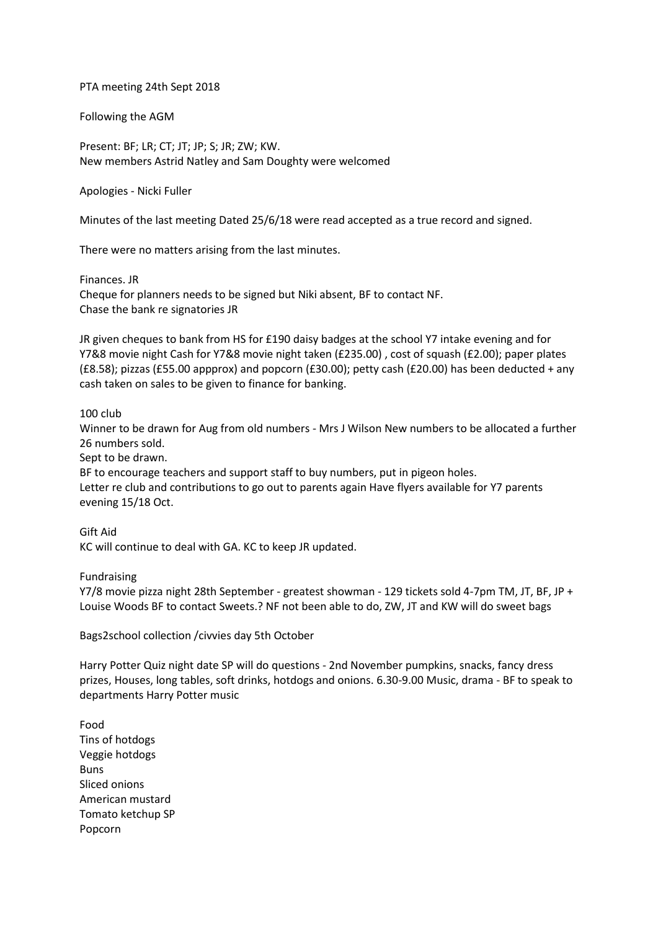## PTA meeting 24th Sept 2018

Following the AGM

Present: BF; LR; CT; JT; JP; S; JR; ZW; KW. New members Astrid Natley and Sam Doughty were welcomed

Apologies - Nicki Fuller

Minutes of the last meeting Dated 25/6/18 were read accepted as a true record and signed.

There were no matters arising from the last minutes.

Finances. JR Cheque for planners needs to be signed but Niki absent, BF to contact NF. Chase the bank re signatories JR

JR given cheques to bank from HS for £190 daisy badges at the school Y7 intake evening and for Y7&8 movie night Cash for Y7&8 movie night taken (£235.00) , cost of squash (£2.00); paper plates (£8.58); pizzas (£55.00 appprox) and popcorn (£30.00); petty cash (£20.00) has been deducted + any cash taken on sales to be given to finance for banking.

## 100 club

Winner to be drawn for Aug from old numbers - Mrs J Wilson New numbers to be allocated a further 26 numbers sold.

Sept to be drawn.

BF to encourage teachers and support staff to buy numbers, put in pigeon holes. Letter re club and contributions to go out to parents again Have flyers available for Y7 parents evening 15/18 Oct.

Gift Aid KC will continue to deal with GA. KC to keep JR updated.

Fundraising

Y7/8 movie pizza night 28th September - greatest showman - 129 tickets sold 4-7pm TM, JT, BF, JP + Louise Woods BF to contact Sweets.? NF not been able to do, ZW, JT and KW will do sweet bags

Bags2school collection /civvies day 5th October

Harry Potter Quiz night date SP will do questions - 2nd November pumpkins, snacks, fancy dress prizes, Houses, long tables, soft drinks, hotdogs and onions. 6.30-9.00 Music, drama - BF to speak to departments Harry Potter music

Food Tins of hotdogs Veggie hotdogs Buns Sliced onions American mustard Tomato ketchup SP Popcorn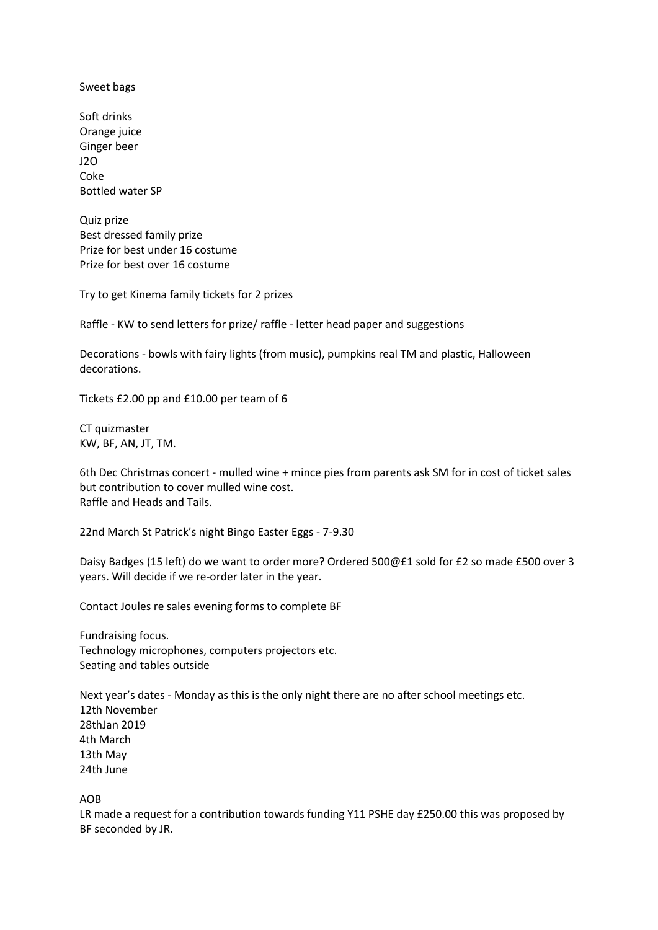Sweet bags

Soft drinks Orange juice Ginger beer J2O Coke Bottled water SP

Quiz prize Best dressed family prize Prize for best under 16 costume Prize for best over 16 costume

Try to get Kinema family tickets for 2 prizes

Raffle - KW to send letters for prize/ raffle - letter head paper and suggestions

Decorations - bowls with fairy lights (from music), pumpkins real TM and plastic, Halloween decorations.

Tickets £2.00 pp and £10.00 per team of 6

CT quizmaster KW, BF, AN, JT, TM.

6th Dec Christmas concert - mulled wine + mince pies from parents ask SM for in cost of ticket sales but contribution to cover mulled wine cost. Raffle and Heads and Tails.

22nd March St Patrick's night Bingo Easter Eggs - 7-9.30

Daisy Badges (15 left) do we want to order more? Ordered 500@£1 sold for £2 so made £500 over 3 years. Will decide if we re-order later in the year.

Contact Joules re sales evening forms to complete BF

Fundraising focus. Technology microphones, computers projectors etc. Seating and tables outside

Next year's dates - Monday as this is the only night there are no after school meetings etc. 12th November 28thJan 2019 4th March 13th May 24th June

AOB

LR made a request for a contribution towards funding Y11 PSHE day £250.00 this was proposed by BF seconded by JR.